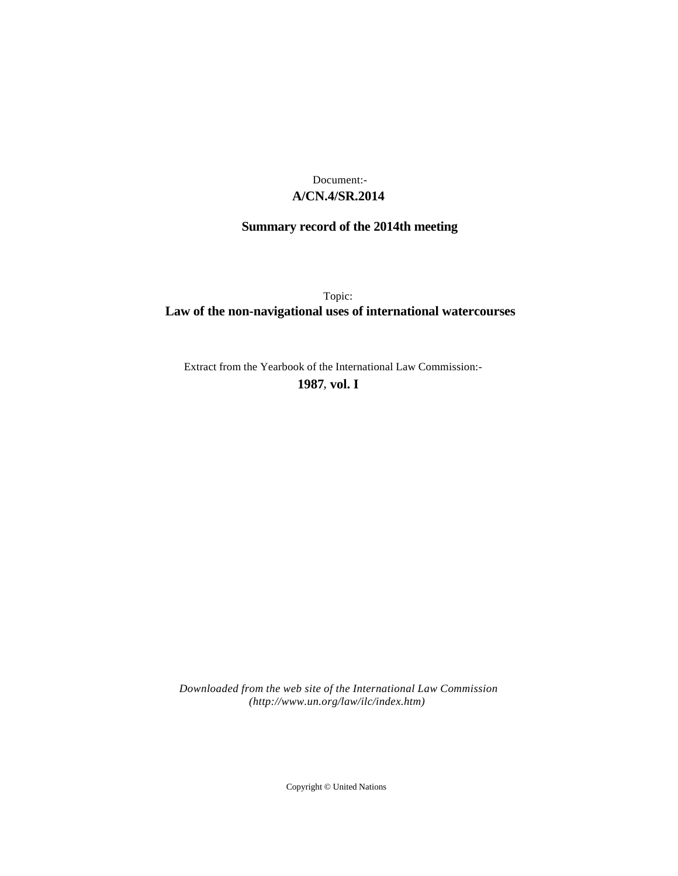## **A/CN.4/SR.2014** Document:-

# **Summary record of the 2014th meeting**

Topic: **Law of the non-navigational uses of international watercourses**

Extract from the Yearbook of the International Law Commission:-

**1987** , **vol. I**

*Downloaded from the web site of the International Law Commission (http://www.un.org/law/ilc/index.htm)*

Copyright © United Nations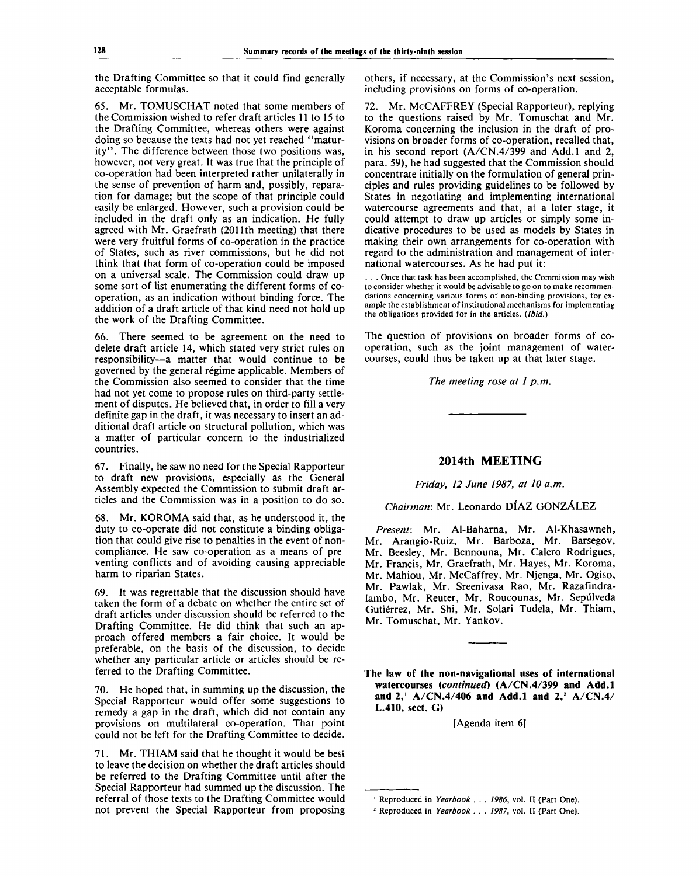the Drafting Committee so that it could find generally acceptable formulas.

65. Mr. TOMUSCHAT noted that some members of the Commission wished to refer draft articles 11 to 15 to the Drafting Committee, whereas others were against doing so because the texts had not yet reached "maturity". The difference between those two positions was, however, not very great. It was true that the principle of co-operation had been interpreted rather unilaterally in the sense of prevention of harm and, possibly, reparation for damage; but the scope of that principle could easily be enlarged. However, such a provision could be included in the draft only as an indication. He fully agreed with Mr. Graefrath (2011th meeting) that there were very fruitful forms of co-operation in the practice of States, such as river commissions, but he did not think that that form of co-operation could be imposed on a universal scale. The Commission could draw up some sort of list enumerating the different forms of cooperation, as an indication without binding force. The addition of a draft article of that kind need not hold up the work of the Drafting Committee.

66. There seemed to be agreement on the need to delete draft article 14, which stated very strict rules on responsibility—a matter that would continue to be governed by the general régime applicable. Members of the Commission also seemed to consider that the time had not yet come to propose rules on third-party settlement of disputes. He believed that, in order to fill a very definite gap in the draft, it was necessary to insert an additional draft article on structural pollution, which was a matter of particular concern to the industrialized countries.

67. Finally, he saw no need for the Special Rapporteur to draft new provisions, especially as the General Assembly expected the Commission to submit draft articles and the Commission was in a position to do so.

68. Mr. KOROMA said that, as he understood it, the duty to co-operate did not constitute a binding obligation that could give rise to penalties in the event of noncompliance. He saw co-operation as a means of preventing conflicts and of avoiding causing appreciable harm to riparian States.

69. It was regrettable that the discussion should have taken the form of a debate on whether the entire set of draft articles under discussion should be referred to the Drafting Committee. He did think that such an approach offered members a fair choice. It would be preferable, on the basis of the discussion, to decide whether any particular article or articles should be referred to the Drafting Committee.

70. He hoped that, in summing up the discussion, the Special Rapporteur would offer some suggestions to remedy a gap in the draft, which did not contain any provisions on multilateral co-operation. That point could not be left for the Drafting Committee to decide.

71. Mr. THIAM said that he thought it would be best to leave the decision on whether the draft articles should be referred to the Drafting Committee until after the Special Rapporteur had summed up the discussion. The referral of those texts to the Drafting Committee would not prevent the Special Rapporteur from proposing others, if necessary, at the Commission's next session, including provisions on forms of co-operation.

72. Mr. McCAFFREY (Special Rapporteur), replying to the questions raised by Mr. Tomuschat and Mr. Koroma concerning the inclusion in the draft of provisions on broader forms of co-operation, recalled that, in his second report (A/CN.4/399 and Add.l and 2, para. 59), he had suggested that the Commission should concentrate initially on the formulation of general principles and rules providing guidelines to be followed by States in negotiating and implementing international watercourse agreements and that, at a later stage, it could attempt to draw up articles or simply some indicative procedures to be used as models by States in making their own arrangements for co-operation with regard to the administration and management of international watercourses. As he had put it:

. . . Once that task has been accomplished, the Commission may wish to consider whether it would be advisable to go on to make recommendations concerning various forms of non-binding provisions, for example the establishment of institutional mechanisms for implementing the obligations provided for in the articles. *{Ibid.)*

The question of provisions on broader forms of cooperation, such as the joint management of watercourses, could thus be taken up at that later stage.

*The meeting rose at 1 p.m.*

## **2014th MEETING**

*Friday, 12 June 1987, at 10 a.m.*

*Chairman:* Mr. Leonardo DIAZ GONZALEZ

*Present:* Mr. Al-Baharna, Mr. Al-Khasawneh, Mr. Arangio-Ruiz, Mr. Barboza, Mr. Barsegov, Mr. Beesley, Mr. Bennouna, Mr. Calero Rodrigues, Mr. Francis, Mr. Graefrath, Mr. Hayes, Mr. Koroma, Mr. Mahiou, Mr. McCaffrey, Mr. Njenga, Mr. Ogiso, Mr. Pawlak, Mr. Sreenivasa Rao, Mr. Razafindralambo, Mr. Reuter, Mr. Roucounas, Mr. Sepulveda Gutierrez, Mr. Shi, Mr. Solari Tudela, Mr. Thiam, Mr. Tomuschat, Mr. Yankov.

**The law of the non-navigational uses of international watercourses** *(continued)* **(A/CN.4/399 and Add.l and 2,<sup>1</sup> A/CN.4/406 and Add.l and 2,<sup>2</sup> A/CN.4/ L.410,** sect. G)

[Agenda item 6]

Reproduced in *Yearbook . 1986,* vol. II (Part One).

Reproduced in *Yearbook . 1987,* vol. II (Part One).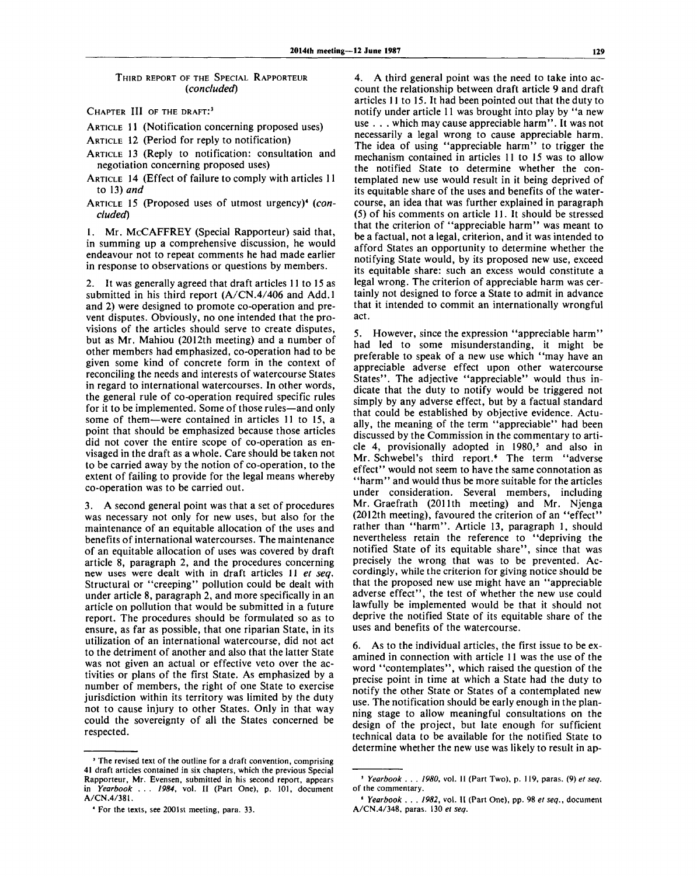#### THIRD REPORT OF THE SPECIAL RAPPORTEUR *(concluded)*

CHAPTER III OF THE DRAFT:<sup>3</sup>

ARTICLE 11 (Notification concerning proposed uses)

ARTICLE 12 (Period for reply to notification)

- ARTICLE 13 (Reply to notification: consultation and negotiation concerning proposed uses)
- ARTICLE 14 (Effect of failure to comply with articles 11 to 13) *and*
- ARTICLE 15 (Proposed uses of utmost urgency)<sup>4</sup> (con*cluded)*

1. Mr. McCAFFREY (Special Rapporteur) said that, in summing up a comprehensive discussion, he would endeavour not to repeat comments he had made earlier in response to observations or questions by members.

2. It was generally agreed that draft articles 11 to 15 as submitted in his third report (A/CN.4/406 and Add.l and 2) were designed to promote co-operation and prevent disputes. Obviously, no one intended that the provisions of the articles should serve to create disputes, but as Mr. Mahiou (2012th meeting) and a number of other members had emphasized, co-operation had to be given some kind of concrete form in the context of reconciling the needs and interests of watercourse States in regard to international watercourses. In other words, the general rule of co-operation required specific rules for it to be implemented. Some of those rules—and only some of them—were contained in articles 11 to 15, a point that should be emphasized because those articles did not cover the entire scope of co-operation as envisaged in the draft as a whole. Care should be taken not to be carried away by the notion of co-operation, to the extent of failing to provide for the legal means whereby co-operation was to be carried out.

3. A second general point was that a set of procedures was necessary not only for new uses, but also for the maintenance of an equitable allocation of the uses and benefits of international watercourses. The maintenance of an equitable allocation of uses was covered by draft article 8, paragraph 2, and the procedures concerning new uses were dealt with in draft articles 11 *et seq.* Structural or "creeping" pollution could be dealt with under article 8, paragraph 2, and more specifically in an article on pollution that would be submitted in a future report. The procedures should be formulated so as to ensure, as far as possible, that one riparian State, in its utilization of an international watercourse, did not act to the detriment of another and also that the latter State was not given an actual or effective veto over the activities or plans of the first State. As emphasized by a number of members, the right of one State to exercise jurisdiction within its territory was limited by the duty not to cause injury to other States. Only in that way could the sovereignty of all the States concerned be respected.

4. A third general point was the need to take into account the relationship between draft article 9 and draft articles 11 to 15. It had been pointed out that the duty to notify under article 11 was brought into play by "a new use . . . which may cause appreciable harm". It was not necessarily a legal wrong to cause appreciable harm. The idea of using "appreciable harm" to trigger the mechanism contained in articles 11 to 15 was to allow the notified State to determine whether the contemplated new use would result in it being deprived of its equitable share of the uses and benefits of the watercourse, an idea that was further explained in paragraph (5) of his comments on article 11. It should be stressed that the criterion of "appreciable harm" was meant to be a factual, not a legal, criterion, and it was intended to afford States an opportunity to determine whether the notifying State would, by its proposed new use, exceed its equitable share: such an excess would constitute a legal wrong. The criterion of appreciable harm was certainly not designed to force a State to admit in advance that it intended to commit an internationally wrongful act.

5. However, since the expression "appreciable harm" had led to some misunderstanding, it might be preferable to speak of a new use which "may have an appreciable adverse effect upon other watercourse States". The adjective "appreciable" would thus indicate that the duty to notify would be triggered not simply by any adverse effect, but by a factual standard that could be established by objective evidence. Actually, the meaning of the term "appreciable" had been discussed by the Commission in the commentary to article 4, provisionally adopted in 1980,<sup>5</sup> and also in Mr. Schwebel's third report.<sup>6</sup> The term "adverse effect" would not seem to have the same connotation as "harm" and would thus be more suitable for the articles under consideration. Several members, including Mr. Graefrath (2011th meeting) and Mr. Njenga (2012th meeting), favoured the criterion of an "effect" rather than "harm". Article 13, paragraph 1, should nevertheless retain the reference to "depriving the notified State of its equitable share", since that was precisely the wrong that was to be prevented. Accordingly, while the criterion for giving notice should be that the proposed new use might have an "appreciable adverse effect", the test of whether the new use could lawfully be implemented would be that it should not deprive the notified State of its equitable share of the uses and benefits of the watercourse.

6. As to the individual articles, the first issue to be examined in connection with article 11 was the use of the word "contemplates", which raised the question of the precise point in time at which a State had the duty to notify the other State or States of a contemplated new use. The notification should be early enough in the planning stage to allow meaningful consultations on the design of the project, but late enough for sufficient technical data to be available for the notified State to determine whether the new use was likely to result in ap-

<sup>3</sup> The revised text of the outline for a draft convention, comprising 41 draft articles contained in six chapters, which the previous Special Rapporteur, Mr. Evensen, submitted in his second report, appears in *Yearbook . . . 1984,* vol. II (Part One), p. 101, document A/CN.4/381.

<sup>4</sup> For the texts, see 2001st meeting, para. 33.

<sup>5</sup>  *Yearbook . . . 1980,* vol. II (Part Two), p. 119, paras. (9) *et seq.* of the commentary.

<sup>6</sup>  *Yearbook . . . 1982,* vol. II (Part One), pp. 98 *et seq.,* document A/CN.4/348, paras. 130 *et seq.*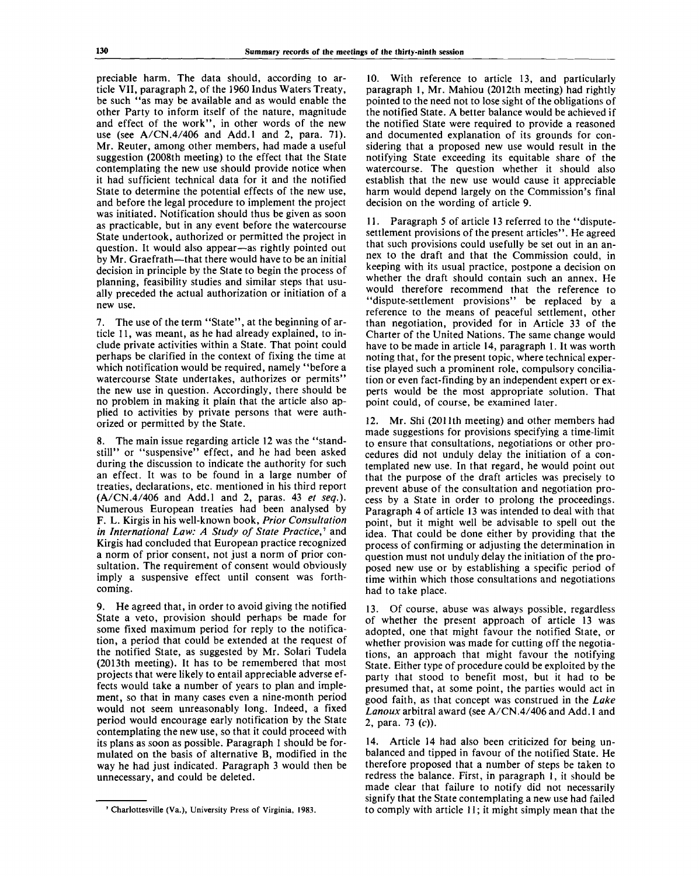preciable harm. The data should, according to article VII, paragraph 2, of the 1960 Indus Waters Treaty, be such "as may be available and as would enable the other Party to inform itself of the nature, magnitude and effect of the work", in other words of the new use (see A/CN.4/406 and Add.l and 2, para. 71). Mr. Reuter, among other members, had made a useful suggestion (2008th meeting) to the effect that the State contemplating the new use should provide notice when it had sufficient technical data for it and the notified State to determine the potential effects of the new use, and before the legal procedure to implement the project was initiated. Notification should thus be given as soon as practicable, but in any event before the watercourse State undertook, authorized or permitted the project in question. It would also appear—as rightly pointed out by Mr. Graefrath—that there would have to be an initial decision in principle by the State to begin the process of planning, feasibility studies and similar steps that usually preceded the actual authorization or initiation of a new use.

7. The use of the term "State", at the beginning of article 11, was meant, as he had already explained, to include private activities within a State. That point could perhaps be clarified in the context of fixing the time at which notification would be required, namely "before a watercourse State undertakes, authorizes or permits" the new use in question. Accordingly, there should be no problem in making it plain that the article also applied to activities by private persons that were authorized or permitted by the State.

8. The main issue regarding article 12 was the "standstill" or "suspensive" effect, and he had been asked during the discussion to indicate the authority for such an effect. It was to be found in a large number of treaties, declarations, etc. mentioned in his third report (A/CN.4/406 and Add.l and 2, paras. 43 *et seq.).* Numerous European treaties had been analysed by F. L. Kirgis in his well-known book, *Prior Consultation in International Law: A Study of State Practice*,<sup>*†*</sup> and Kirgis had concluded that European practice recognized a norm of prior consent, not just a norm of prior consultation. The requirement of consent would obviously imply a suspensive effect until consent was forthcoming.

He agreed that, in order to avoid giving the notified State a veto, provision should perhaps be made for some fixed maximum period for reply to the notification, a period that could be extended at the request of the notified State, as suggested by Mr. Solari Tudela (2013th meeting). It has to be remembered that most projects that were likely to entail appreciable adverse effects would take a number of years to plan and implement, so that in many cases even a nine-month period would not seem unreasonably long. Indeed, a fixed period would encourage early notification by the State contemplating the new use, so that it could proceed with its plans as soon as possible. Paragraph 1 should be formulated on the basis of alternative B, modified in the way he had just indicated. Paragraph 3 would then be unnecessary, and could be deleted.

10. With reference to article 13, and particularly paragraph 1, Mr. Mahiou (2012th meeting) had rightly pointed to the need not to lose sight of the obligations of the notified State. A better balance would be achieved if the notified State were required to provide a reasoned and documented explanation of its grounds for considering that a proposed new use would result in the notifying State exceeding its equitable share of the watercourse. The question whether it should also establish that the new use would cause it appreciable harm would depend largely on the Commission's final decision on the wording of article 9.

Paragraph 5 of article 13 referred to the "disputesettlement provisions of the present articles". He agreed that such provisions could usefully be set out in an annex to the draft and that the Commission could, in keeping with its usual practice, postpone a decision on whether the draft should contain such an annex. He would therefore recommend that the reference to "dispute-settlement provisions" be replaced by a reference to the means of peaceful settlement, other than negotiation, provided for in Article 33 of the Charter of the United Nations. The same change would have to be made in article 14, paragraph 1. It was worth noting that, for the present topic, where technical expertise played such a prominent role, compulsory conciliation or even fact-finding by an independent expert or experts would be the most appropriate solution. That point could, of course, be examined later.

12. Mr. Shi (2011th meeting) and other members had made suggestions for provisions specifying a time-limit to ensure that consultations, negotiations or other procedures did not unduly delay the initiation of a contemplated new use. In that regard, he would point out that the purpose of the draft articles was precisely to prevent abuse of the consultation and negotiation process by a State in order to prolong the proceedings. Paragraph 4 of article 13 was intended to deal with that point, but it might well be advisable to spell out the idea. That could be done either by providing that the process of confirming or adjusting the determination in question must not unduly delay the initiation of the proposed new use or by establishing a specific period of time within which those consultations and negotiations had to take place.

13. Of course, abuse was always possible, regardless of whether the present approach of article 13 was adopted, one that might favour the notified State, or whether provision was made for cutting off the negotiations, an approach that might favour the notifying State. Either type of procedure could be exploited by the party that stood to benefit most, but it had to be presumed that, at some point, the parties would act in good faith, as that concept was construed in the *Lake Lanoux* arbitral award (see A/CN.4/406 and Add. 1 and 2, para. 73 (c)).

14. Article 14 had also been criticized for being unbalanced and tipped in favour of the notified State. He therefore proposed that a number of steps be taken to redress the balance. First, in paragraph 1, it should be made clear that failure to notify did not necessarily signify that the State contemplating a new use had failed to comply with article 11; it might simply mean that the

<sup>7</sup> Charlottesville (Va.), University Press of Virginia, 1983.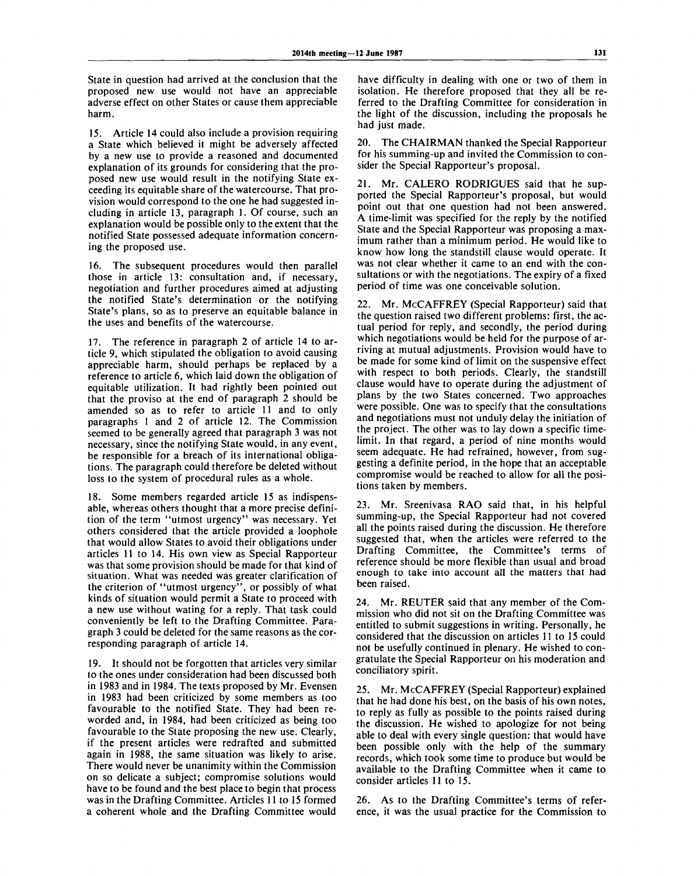State in question had arrived at the conclusion that the proposed new use would not have an appreciable adverse effect on other States or cause them appreciable harm.

15. Article 14 could also include a provision requiring a State which believed it might be adversely affected by a new use to provide a reasoned and documented explanation of its grounds for considering that the proposed new use would result in the notifying State exceeding its equitable share of the watercourse. That provision would correspond to the one he had suggested including in article 13, paragraph 1. Of course, such an explanation would be possible only to the extent that the notified State possessed adequate information concerning the proposed use.

16. The subsequent procedures would then parallel those in article 13: consultation and, if necessary, negotiation and further procedures aimed at adjusting the notified State's determination or the notifying State's plans, so as to preserve an equitable balance in the uses and benefits of the watercourse.

17. The reference in paragraph 2 of article 14 to article 9, which stipulated the obligation to avoid causing appreciable harm, should perhaps be replaced by a reference to article 6, which laid down the obligation of equitable utilization. It had rightly been pointed out that the proviso at the end of paragraph 2 should be amended so as to refer to article 11 and to only paragraphs 1 and 2 of article 12. The Commission seemed to be generally agreed that paragraph 3 was not necessary, since the notifying State would, in any event, be responsible for a breach of its international obligations. The paragraph could therefore be deleted without loss to the system of procedural rules as a whole.

18. Some members regarded article 15 as indispensable, whereas others thought that a more precise definition of the term "utmost urgency" was necessary. Yet others considered that the article provided a loophole that would allow States to avoid their obligations under articles 11 to 14. His own view as Special Rapporteur was that some provision should be made for that kind of situation. What was needed was greater clarification of the criterion of "utmost urgency", or possibly of what kinds of situation would permit a State to proceed with a new use without wating for a reply. That task could conveniently be left to the Drafting Committee. Paragraph 3 could be deleted for the same reasons as the corresponding paragraph of article 14.

19. It should not be forgotten that articles very similar to the ones under consideration had been discussed both in 1983 and in 1984. The texts proposed by Mr. Evensen in 1983 had been criticized by some members as too favourable to the notified State. They had been reworded and, in 1984, had been criticized as being too favourable to the State proposing the new use. Clearly, if the present articles were redrafted and submitted again in 1988, the same situation was likely to arise. There would never be unanimity within the Commission on so delicate a subject; compromise solutions would have to be found and the best place to begin that process was in the Drafting Committee. Articles 11 to 15 formed a coherent whole and the Drafting Committee would

have difficulty in dealing with one or two of them in isolation. He therefore proposed that they all be referred to the Drafting Committee for consideration in the light of the discussion, including the proposals he had just made.

20. The CHAIRMAN thanked the Special Rapporteur for his summing-up and invited the Commission to consider the Special Rapporteur's proposal.

21. Mr. CALERO RODRIGUES said that he supported the Special Rapporteur's proposal, but would point out that one question had not been answered. A time-limit was specified for the reply by the notified State and the Special Rapporteur was proposing a maximum rather than a minimum period. He would like to know how long the standstill clause would operate. It was not clear whether it came to an end with the consultations or with the negotiations. The expiry of a fixed period of time was one conceivable solution.

22. Mr. McCAFFREY (Special Rapporteur) said that the question raised two different problems: first, the actual period for reply, and secondly, the period during which negotiations would be held for the purpose of arriving at mutual adjustments. Provision would have to be made for some kind of limit on the suspensive effect with respect to both periods. Clearly, the standstill clause would have to operate during the adjustment of plans by the two States concerned. Two approaches were possible. One was to specify that the consultations and negotiations must not unduly delay the initiation of the project. The other was to lay down a specific timelimit. In that regard, a period of nine months would seem adequate. He had refrained, however, from suggesting a definite period, in the hope that an acceptable compromise would be reached to allow for all the positions taken by members.

23. Mr. Sreenivasa RAO said that, in his helpful summing-up, the Special Rapporteur had not covered all the points raised during the discussion. He therefore suggested that, when the articles were referred to the Drafting Committee, the Committee's terms of reference should be more flexible than usual and broad enough to take into account all the matters that had been raised.

24. Mr. REUTER said that any member of the Commission who did not sit on the Drafting Committee was entitled to submit suggestions in writing. Personally, he considered that the discussion on articles 11 to 15 could not be usefully continued in plenary. He wished to congratulate the Special Rapporteur on his moderation and conciliatory spirit.

25. Mr. McCAFFREY (Special Rapporteur) explained that he had done his best, on the basis of his own notes, to reply as fully as possible to the points raised during the discussion. He wished to apologize for not being able to deal with every single question: that would have been possible only with the help of the summary records, which took some time to produce but would be available to the Drafting Committee when it came to consider articles 11 to 15.

26. As to the Drafting Committee's terms of reference, it was the usual practice for the Commission to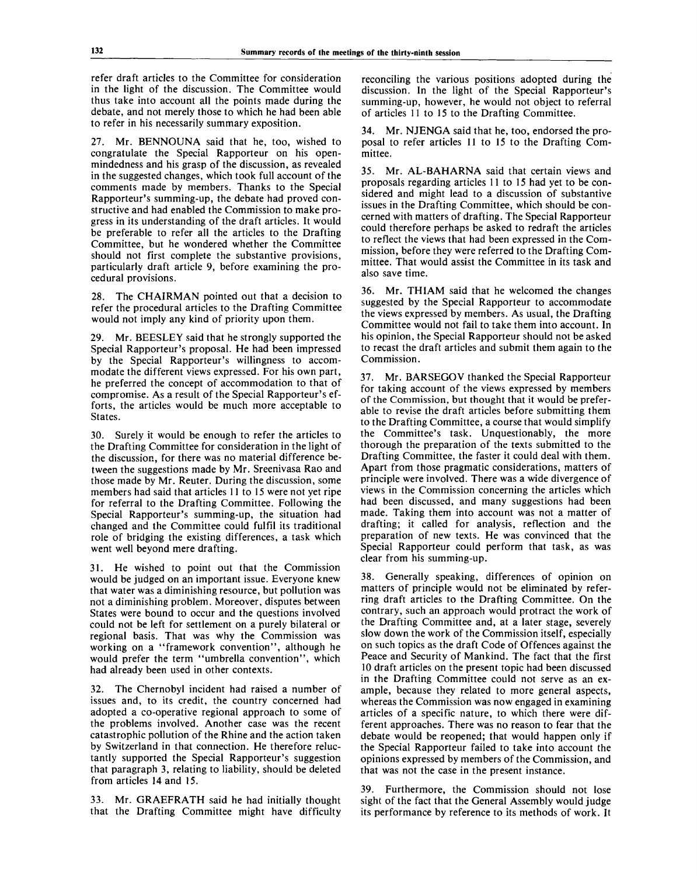refer draft articles to the Committee for consideration in the light of the discussion. The Committee would thus take into account all the points made during the debate, and not merely those to which he had been able to refer in his necessarily summary exposition.

27. Mr. BENNOUNA said that he, too, wished to congratulate the Special Rapporteur on his openmindedness and his grasp of the discussion, as revealed in the suggested changes, which took full account of the comments made by members. Thanks to the Special Rapporteur's summing-up, the debate had proved constructive and had enabled the Commission to make progress in its understanding of the draft articles. It would be preferable to refer all the articles to the Drafting Committee, but he wondered whether the Committee should not first complete the substantive provisions, particularly draft article 9, before examining the procedural provisions.

28. The CHAIRMAN pointed out that a decision to refer the procedural articles to the Drafting Committee would not imply any kind of priority upon them.

29. Mr. BEESLEY said that he strongly supported the Special Rapporteur's proposal. He had been impressed by the Special Rapporteur's willingness to accommodate the different views expressed. For his own part, he preferred the concept of accommodation to that of compromise. As a result of the Special Rapporteur's efforts, the articles would be much more acceptable to States.

30. Surely it would be enough to refer the articles to the Drafting Committee for consideration in the light of the discussion, for there was no material difference between the suggestions made by Mr. Sreenivasa Rao and those made by Mr. Reuter. During the discussion, some members had said that articles 11 to 15 were not yet ripe for referral to the Drafting Committee. Following the Special Rapporteur's summing-up, the situation had changed and the Committee could fulfil its traditional role of bridging the existing differences, a task which went well beyond mere drafting.

31. He wished to point out that the Commission would be judged on an important issue. Everyone knew that water was a diminishing resource, but pollution was not a diminishing problem. Moreover, disputes between States were bound to occur and the questions involved could not be left for settlement on a purely bilateral or regional basis. That was why the Commission was working on a "framework convention", although he would prefer the term "umbrella convention", which had already been used in other contexts.

32. The Chernobyl incident had raised a number of issues and, to its credit, the country concerned had adopted a co-operative regional approach to some of the problems involved. Another case was the recent catastrophic pollution of the Rhine and the action taken by Switzerland in that connection. He therefore reluctantly supported the Special Rapporteur's suggestion that paragraph 3, relating to liability, should be deleted from articles 14 and 15.

33. Mr. GRAEFRATH said he had initially thought that the Drafting Committee might have difficulty

reconciling the various positions adopted during the discussion. In the light of the Special Rapporteur's summing-up, however, he would not object to referral of articles 11 to 15 to the Drafting Committee.

34. Mr. NJENGA said that he, too, endorsed the proposal to refer articles 11 to 15 to the Drafting Committee.

35. Mr. AL-BAHARNA said that certain views and proposals regarding articles 11 to 15 had yet to be considered and might lead to a discussion of substantive issues in the Drafting Committee, which should be concerned with matters of drafting. The Special Rapporteur could therefore perhaps be asked to redraft the articles to reflect the views that had been expressed in the Commission, before they were referred to the Drafting Committee. That would assist the Committee in its task and also save time.

36. Mr. THIAM said that he welcomed the changes suggested by the Special Rapporteur to accommodate the views expressed by members. As usual, the Drafting Committee would not fail to take them into account. In his opinion, the Special Rapporteur should not be asked to recast the draft articles and submit them again to the Commission.

37. Mr. BARSEGOV thanked the Special Rapporteur for taking account of the views expressed by members of the Commission, but thought that it would be preferable to revise the draft articles before submitting them to the Drafting Committee, a course that would simplify the Committee's task. Unquestionably, the more thorough the preparation of the texts submitted to the Drafting Committee, the faster it could deal with them. Apart from those pragmatic considerations, matters of principle were involved. There was a wide divergence of views in the Commission concerning the articles which had been discussed, and many suggestions had been made. Taking them into account was not a matter of drafting; it called for analysis, reflection and the preparation of new texts. He was convinced that the Special Rapporteur could perform that task, as was clear from his summing-up.

38. Generally speaking, differences of opinion on matters of principle would not be eliminated by referring draft articles to the Drafting Committee. On the contrary, such an approach would protract the work of the Drafting Committee and, at a later stage, severely slow down the work of the Commission itself, especially on such topics as the draft Code of Offences against the Peace and Security of Mankind. The fact that the first 10 draft articles on the present topic had been discussed in the Drafting Committee could not serve as an example, because they related to more general aspects, whereas the Commission was now engaged in examining articles of a specific nature, to which there were different approaches. There was no reason to fear that the debate would be reopened; that would happen only if the Special Rapporteur failed to take into account the opinions expressed by members of the Commission, and that was not the case in the present instance.

39. Furthermore, the Commission should not lose sight of the fact that the General Assembly would judge its performance by reference to its methods of work. It